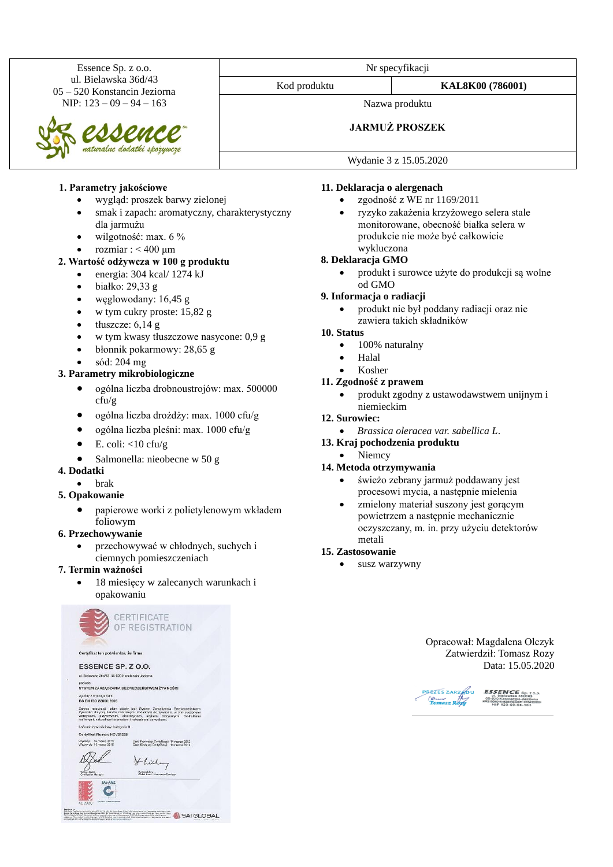Essence Sp. z o.o. ul. Bielawska 36d/43 05 – 520 Konstancin Jeziorna NIP: 123 – 09 – 94 – 163



## **1. Parametry jakościowe**

- wygląd: proszek barwy zielonej
- smak i zapach: aromatyczny, charakterystyczny dla jarmużu
- wilgotność: max. 6 %
- rozmiar :  $<$  400 µm

### **2. Wartość odżywcza w 100 g produktu**

- energia: 304 kcal/ 1274 kJ
- białko: 29,33 g
- weglowodany: 16,45 g
- w tym cukry proste:  $15,82 \text{ g}$
- $\bullet$  tłuszcze: 6,14 g
- w tym kwasy tłuszczowe nasycone: 0,9 g
- błonnik pokarmowy: 28,65 g
- sód: 204 mg

## **3. Parametry mikrobiologiczne**

- ogólna liczba drobnoustrojów: max. 500000 cfu/g
- ogólna liczba drożdży: max. 1000 cfu/g
- ogólna liczba pleśni: max. 1000 cfu/g
- E. coli:  $\langle 10 \text{ cftu/g}$
- Salmonella: nieobecne w 50 g

### **4. Dodatki**

• brak

## **5. Opakowanie**

• papierowe worki z polietylenowym wkładem foliowym

### **6. Przechowywanie**

• przechowywać w chłodnych, suchych i ciemnych pomieszczeniach

### **7. Termin ważności**

18 miesięcy w zalecanych warunkach i opakowaniu



Nr specyfikacji

Kod produktu **KAL8K00 (786001)**

Nazwa produktu

# **JARMUŻ PROSZEK**

Wydanie 3 z 15.05.2020

#### **11. Deklaracja o alergenach**

- zgodność z WE nr 1169/2011
- ryzyko zakażenia krzyżowego selera stale monitorowane, obecność białka selera w produkcie nie może być całkowicie wykluczona

## **8. Deklaracja GMO**

• produkt i surowce użyte do produkcji są wolne od GMO

### **9. Informacja o radiacji**

• produkt nie był poddany radiacji oraz nie zawiera takich składników

## **10. Status**

- 100% naturalny
- Halal
- Kosher

## **11. Zgodność z prawem**

• produkt zgodny z ustawodawstwem unijnym i niemieckim

## **12. Surowiec:**

- *Brassica oleracea var. sabellica L*.
- **13. Kraj pochodzenia produktu**
	- Niemcy

### **14. Metoda otrzymywania**

- świeżo zebrany jarmuż poddawany jest procesowi mycia, a następnie mielenia
- zmielony materiał suszony jest gorącym powietrzem a następnie mechanicznie oczyszczany, m. in. przy użyciu detektorów metali

#### **15. Zastosowanie**

susz warzywny





**ESSENCE** ul. Bleiawska 360/43<br>05-520 Konstancin-Jezio<br>KRS 00016468 REGON 0154<br>HIP 123-09-94-163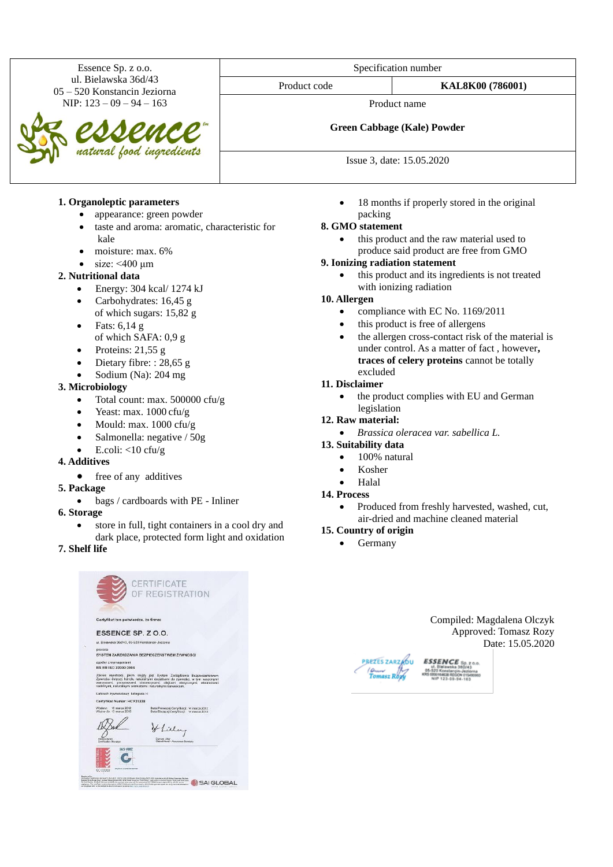Essence Sp. z o.o. ul. Bielawska 36d/43 05 – 520 Konstancin Jeziorna NIP: 123 – 09 – 94 – 163 Specification number Product code **KAL8K00 (786001)** Product name **Green Cabbage (Kale) Powder** Issue 3, date: 15.05.2020 **1. Organoleptic parameters** appearance: green powder taste and aroma: aromatic, characteristic for kale • moisture: max. 6%  $\cdot$  size: <400  $\mu$ m **2. Nutritional data** 18 months if properly stored in the original packing **8. GMO statement** this product and the raw material used to produce said product are free from GMO **9. Ionizing radiation statement** this product and its ingredients is not treated with ionizing radiation

## **10. Allergen**

- compliance with EC No. 1169/2011
- this product is free of allergens
- the allergen cross-contact risk of the material is under control. As a matter of fact , however**, traces of celery proteins** cannot be totally excluded

#### **11. Disclaimer**

- the product complies with EU and German legislation
- **12. Raw material:**
	- *Brassica oleracea var. sabellica L.*

# **13. Suitability data**

- 100% natural
- Kosher
- Halal

### **14. Process**

• Produced from freshly harvested, washed, cut, air-dried and machine cleaned material

### **15. Country of origin**

- Germany
- Compiled: Magdalena Olczyk Approved: Tomasz Rozy Date: 15.05.2020

- Energy: 304 kcal/ 1274 kJ
- Carbohydrates: 16.45 g
- of which sugars: 15,82 g • Fats:  $6,14 \text{ g}$
- of which SAFA: 0,9 g
- Proteins:  $21,55 \text{ g}$
- Dietary fibre: : 28,65 g
- Sodium (Na): 204 mg

## **3. Microbiology**

- Total count: max. 500000 cfu/g
- Yeast: max. 1000 cfu/g
- Mould: max.  $1000 \text{ cfty/g}$
- Salmonella: negative / 50g
- E.coli:  $<$ 10 cfu/g

# **4. Additives**

- free of any additives
- **5. Package**
	- bags / cardboards with PE Inliner
- **6. Storage**
	- store in full, tight containers in a cool dry and dark place, protected form light and oxidation

**7. Shelf life**

| Certyfikat ten potwierdza, że firma:             |                                                                                                                                                                                                                                                                                                |
|--------------------------------------------------|------------------------------------------------------------------------------------------------------------------------------------------------------------------------------------------------------------------------------------------------------------------------------------------------|
| ESSENCE SP. Z O.O.                               |                                                                                                                                                                                                                                                                                                |
| ul. Bielawska 36d/43, 05-520 Konstancin-Jeziorna |                                                                                                                                                                                                                                                                                                |
| posiada                                          |                                                                                                                                                                                                                                                                                                |
|                                                  | SYSTEM ZARZĄDZANIA BEZPIECZEŃSTWEM ŻYWNOŚCI                                                                                                                                                                                                                                                    |
| zgodny z wymaganiami                             |                                                                                                                                                                                                                                                                                                |
| BS EN ISO 22000:2005                             |                                                                                                                                                                                                                                                                                                |
|                                                  | Zakres rejestracj, jakim objęty jest System Zarządzania Bezpieczeństwem<br>Żywności dotyczy handlu naturalnymi dodatkami do żywności, w tym suszonymi<br>warzywami, przyprawami, oleorezynami, olejkami eterycznymi, ekstraktami<br>rošinnymi, naturalnymi aromatami i naturalnymi barwnikami. |
| Łańcuch żywnościowy: kategoria H                 |                                                                                                                                                                                                                                                                                                |
| Certyfikat Numer: HCV21228                       |                                                                                                                                                                                                                                                                                                |
| Wydany: 16 marca 2012<br>Wazny do: 13 marca 2015 | Data Pierwszei Certyfikacji: 14 marca 2012.<br>Data Bieżącej Certylikacji 14 marca 2012                                                                                                                                                                                                        |
|                                                  |                                                                                                                                                                                                                                                                                                |
|                                                  |                                                                                                                                                                                                                                                                                                |
|                                                  | Lilley                                                                                                                                                                                                                                                                                         |
| Villiam Smith                                    | Durican Libra                                                                                                                                                                                                                                                                                  |
| Certification Manager                            | Global Head - Assurance Services                                                                                                                                                                                                                                                               |

**BAR CONTRACT AND AN ARTICLE IN A REPORT OF A LABOUR CONTRACT OF A LABOUR CONTRACT OF A LABOUR CONTRACT OF A LABOUR CONTRACT OF A LABOUR CONTRACT OF A LABOUR CONTRACT OF A LABOUR CONTRACT OF A LABOUR CONTRACT OF A LABOUR C**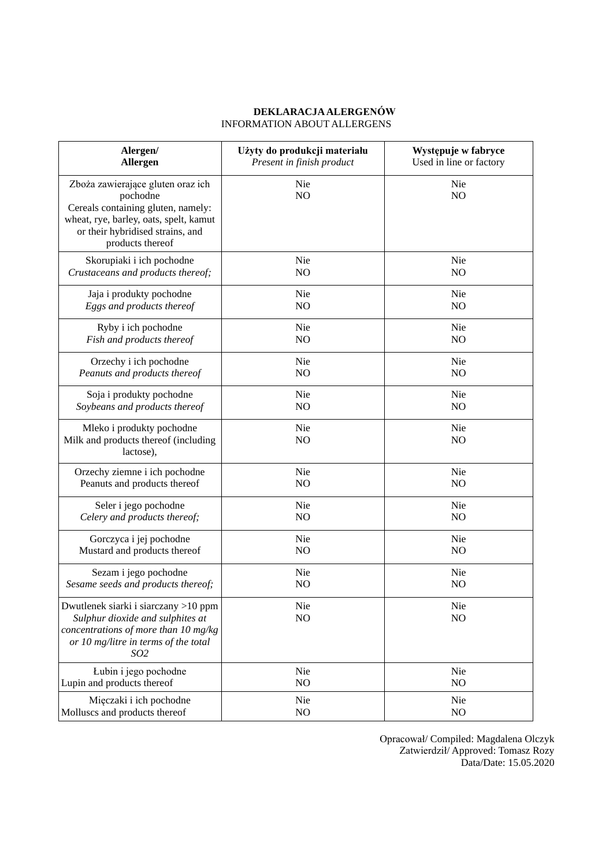# **DEKLARACJA ALERGENÓW** INFORMATION ABOUT ALLERGENS

| Alergen/                                                                                                                                                                              | Użyty do produkcji materiału | Występuje w fabryce          |
|---------------------------------------------------------------------------------------------------------------------------------------------------------------------------------------|------------------------------|------------------------------|
| Allergen                                                                                                                                                                              | Present in finish product    | Used in line or factory      |
| Zboża zawierające gluten oraz ich<br>pochodne<br>Cereals containing gluten, namely:<br>wheat, rye, barley, oats, spelt, kamut<br>or their hybridised strains, and<br>products thereof | <b>Nie</b><br>N <sub>O</sub> | <b>Nie</b><br>N <sub>O</sub> |
| Skorupiaki i ich pochodne                                                                                                                                                             | Nie                          | Nie                          |
| Crustaceans and products thereof;                                                                                                                                                     | NO                           | N <sub>O</sub>               |
| Jaja i produkty pochodne                                                                                                                                                              | Nie                          | Nie                          |
| Eggs and products thereof                                                                                                                                                             | N <sub>O</sub>               | N <sub>O</sub>               |
| Ryby i ich pochodne                                                                                                                                                                   | Nie                          | <b>Nie</b>                   |
| Fish and products thereof                                                                                                                                                             | N <sub>O</sub>               | N <sub>O</sub>               |
| Orzechy i ich pochodne                                                                                                                                                                | Nie                          | Nie                          |
| Peanuts and products thereof                                                                                                                                                          | NO                           | N <sub>O</sub>               |
| Soja i produkty pochodne                                                                                                                                                              | Nie                          | Nie                          |
| Soybeans and products thereof                                                                                                                                                         | N <sub>O</sub>               | N <sub>O</sub>               |
| Mleko i produkty pochodne<br>Milk and products thereof (including<br>lactose),                                                                                                        | Nie<br>NO                    | <b>Nie</b><br>N <sub>O</sub> |
| Orzechy ziemne i ich pochodne                                                                                                                                                         | Nie                          | Nie                          |
| Peanuts and products thereof                                                                                                                                                          | NO                           | NO                           |
| Seler i jego pochodne                                                                                                                                                                 | Nie                          | Nie                          |
| Celery and products thereof;                                                                                                                                                          | NO                           | NO                           |
| Gorczyca i jej pochodne                                                                                                                                                               | Nie                          | <b>Nie</b>                   |
| Mustard and products thereof                                                                                                                                                          | NO                           | N <sub>O</sub>               |
| Sezam i jego pochodne                                                                                                                                                                 | Nie                          | Nie                          |
| Sesame seeds and products thereof;                                                                                                                                                    | N <sub>O</sub>               | N <sub>O</sub>               |
| Dwutlenek siarki i siarczany >10 ppm<br>Sulphur dioxide and sulphites at<br>concentrations of more than 10 mg/kg<br>or 10 mg/litre in terms of the total<br>SO <sub>2</sub>           | Nie<br>N <sub>O</sub>        | Nie<br>N <sub>O</sub>        |
| Łubin i jego pochodne                                                                                                                                                                 | Nie                          | Nie                          |
| Lupin and products thereof                                                                                                                                                            | N <sub>O</sub>               | N <sub>O</sub>               |
| Mięczaki i ich pochodne                                                                                                                                                               | Nie                          | Nie                          |
| Molluscs and products thereof                                                                                                                                                         | NO                           | NO                           |

Opracował/ Compiled: Magdalena Olczyk Zatwierdził/ Approved: Tomasz Rozy Data/Date: 15.05.2020